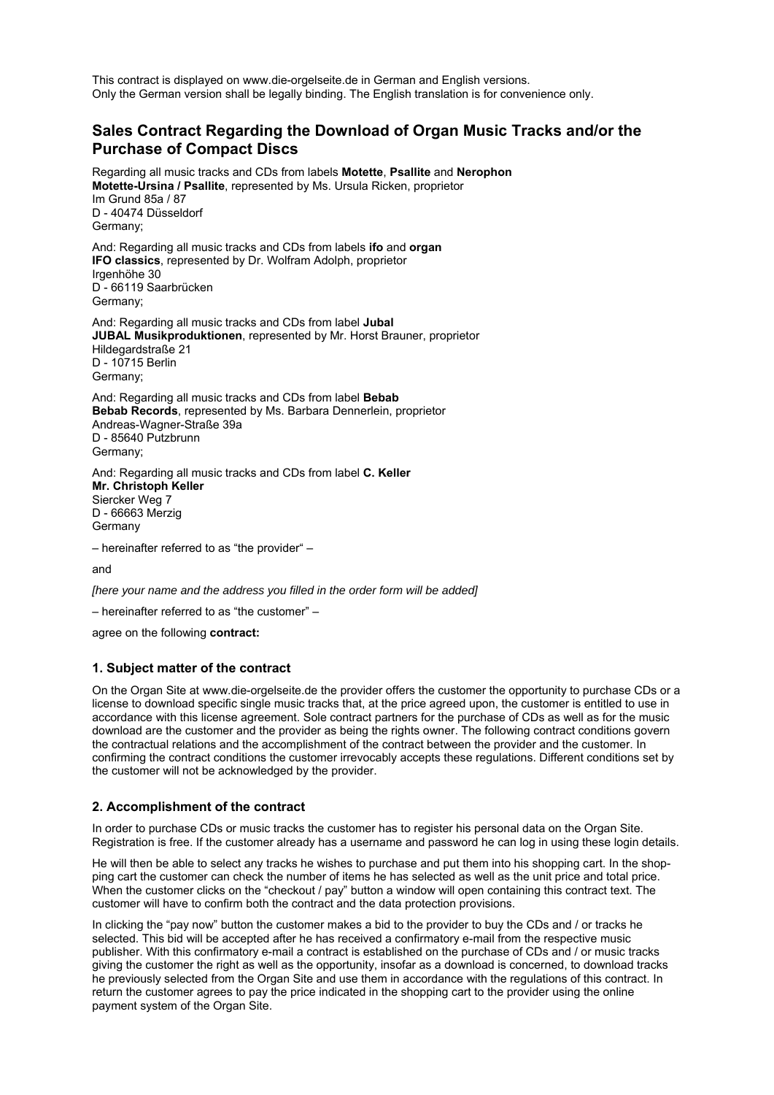This contract is displayed on www.die-orgelseite.de in German and English versions. Only the German version shall be legally binding. The English translation is for convenience only.

# **Sales Contract Regarding the Download of Organ Music Tracks and/or the Purchase of Compact Discs**

Regarding all music tracks and CDs from labels **Motette**, **Psallite** and **Nerophon Motette-Ursina / Psallite**, represented by Ms. Ursula Ricken, proprietor Im Grund 85a / 87 D - 40474 Düsseldorf Germany;

And: Regarding all music tracks and CDs from labels **ifo** and **organ IFO classics**, represented by Dr. Wolfram Adolph, proprietor Irgenhöhe 30 D - 66119 Saarbrücken Germany;

And: Regarding all music tracks and CDs from label **Jubal JUBAL Musikproduktionen**, represented by Mr. Horst Brauner, proprietor Hildegardstraße 21 D - 10715 Berlin Germany;

And: Regarding all music tracks and CDs from label **Bebab Bebab Records**, represented by Ms. Barbara Dennerlein, proprietor Andreas-Wagner-Straße 39a D - 85640 Putzbrunn Germany;

And: Regarding all music tracks and CDs from label **C. Keller Mr. Christoph Keller** Siercker Weg 7 D - 66663 Merzig **Germany** 

– hereinafter referred to as "the provider" –

and

*[here your name and the address you filled in the order form will be added]* 

– hereinafter referred to as "the customer" –

agree on the following **contract:**

#### **1. Subject matter of the contract**

On the Organ Site at www.die-orgelseite.de the provider offers the customer the opportunity to purchase CDs or a license to download specific single music tracks that, at the price agreed upon, the customer is entitled to use in accordance with this license agreement. Sole contract partners for the purchase of CDs as well as for the music download are the customer and the provider as being the rights owner. The following contract conditions govern the contractual relations and the accomplishment of the contract between the provider and the customer. In confirming the contract conditions the customer irrevocably accepts these regulations. Different conditions set by the customer will not be acknowledged by the provider.

# **2. Accomplishment of the contract**

In order to purchase CDs or music tracks the customer has to register his personal data on the Organ Site. Registration is free. If the customer already has a username and password he can log in using these login details.

He will then be able to select any tracks he wishes to purchase and put them into his shopping cart. In the shopping cart the customer can check the number of items he has selected as well as the unit price and total price. When the customer clicks on the "checkout / pay" button a window will open containing this contract text. The customer will have to confirm both the contract and the data protection provisions.

In clicking the "pay now" button the customer makes a bid to the provider to buy the CDs and / or tracks he selected. This bid will be accepted after he has received a confirmatory e-mail from the respective music publisher. With this confirmatory e-mail a contract is established on the purchase of CDs and / or music tracks giving the customer the right as well as the opportunity, insofar as a download is concerned, to download tracks he previously selected from the Organ Site and use them in accordance with the regulations of this contract. In return the customer agrees to pay the price indicated in the shopping cart to the provider using the online payment system of the Organ Site.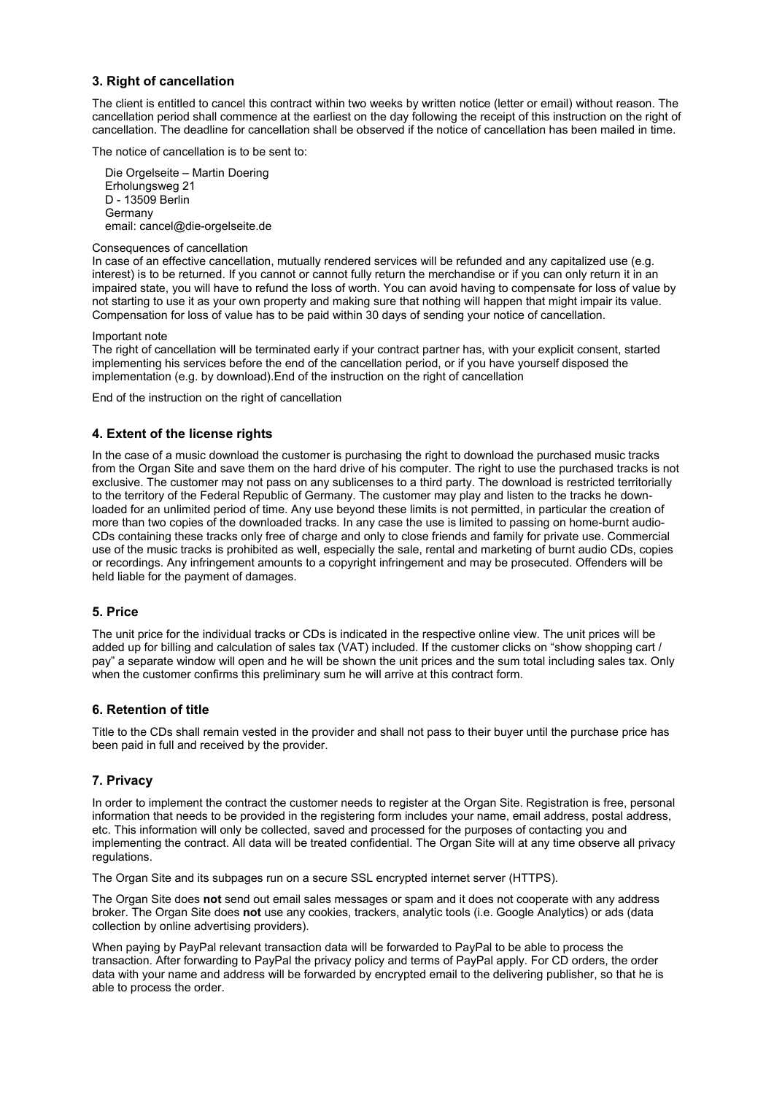# **3. Right of cancellation**

The client is entitled to cancel this contract within two weeks by written notice (letter or email) without reason. The cancellation period shall commence at the earliest on the day following the receipt of this instruction on the right of cancellation. The deadline for cancellation shall be observed if the notice of cancellation has been mailed in time.

The notice of cancellation is to be sent to:

 Die Orgelseite – Martin Doering Erholungsweg 21 D - 13509 Berlin Germany email: cancel@die-orgelseite.de

Consequences of cancellation

In case of an effective cancellation, mutually rendered services will be refunded and any capitalized use (e.g. interest) is to be returned. If you cannot or cannot fully return the merchandise or if you can only return it in an impaired state, you will have to refund the loss of worth. You can avoid having to compensate for loss of value by not starting to use it as your own property and making sure that nothing will happen that might impair its value. Compensation for loss of value has to be paid within 30 days of sending your notice of cancellation.

Important note

The right of cancellation will be terminated early if your contract partner has, with your explicit consent, started implementing his services before the end of the cancellation period, or if you have yourself disposed the implementation (e.g. by download).End of the instruction on the right of cancellation

End of the instruction on the right of cancellation

# **4. Extent of the license rights**

In the case of a music download the customer is purchasing the right to download the purchased music tracks from the Organ Site and save them on the hard drive of his computer. The right to use the purchased tracks is not exclusive. The customer may not pass on any sublicenses to a third party. The download is restricted territorially to the territory of the Federal Republic of Germany. The customer may play and listen to the tracks he downloaded for an unlimited period of time. Any use beyond these limits is not permitted, in particular the creation of more than two copies of the downloaded tracks. In any case the use is limited to passing on home-burnt audio-CDs containing these tracks only free of charge and only to close friends and family for private use. Commercial use of the music tracks is prohibited as well, especially the sale, rental and marketing of burnt audio CDs, copies or recordings. Any infringement amounts to a copyright infringement and may be prosecuted. Offenders will be held liable for the payment of damages.

# **5. Price**

The unit price for the individual tracks or CDs is indicated in the respective online view. The unit prices will be added up for billing and calculation of sales tax (VAT) included. If the customer clicks on "show shopping cart / pay" a separate window will open and he will be shown the unit prices and the sum total including sales tax. Only when the customer confirms this preliminary sum he will arrive at this contract form.

# **6. Retention of title**

Title to the CDs shall remain vested in the provider and shall not pass to their buyer until the purchase price has been paid in full and received by the provider.

#### **7. Privacy**

In order to implement the contract the customer needs to register at the Organ Site. Registration is free, personal information that needs to be provided in the registering form includes your name, email address, postal address, etc. This information will only be collected, saved and processed for the purposes of contacting you and implementing the contract. All data will be treated confidential. The Organ Site will at any time observe all privacy regulations.

The Organ Site and its subpages run on a secure SSL encrypted internet server (HTTPS).

The Organ Site does **not** send out email sales messages or spam and it does not cooperate with any address broker. The Organ Site does **not** use any cookies, trackers, analytic tools (i.e. Google Analytics) or ads (data collection by online advertising providers).

When paying by PayPal relevant transaction data will be forwarded to PayPal to be able to process the transaction. After forwarding to PayPal the privacy policy and terms of PayPal apply. For CD orders, the order data with your name and address will be forwarded by encrypted email to the delivering publisher, so that he is able to process the order.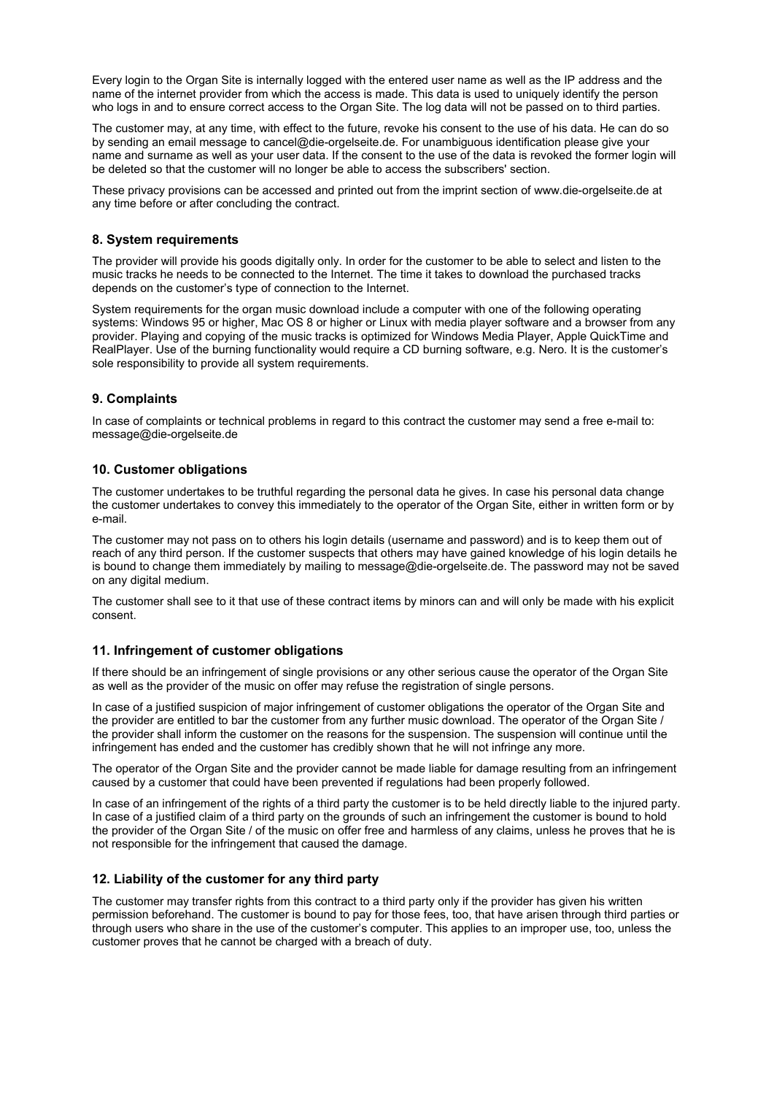Every login to the Organ Site is internally logged with the entered user name as well as the IP address and the name of the internet provider from which the access is made. This data is used to uniquely identify the person who logs in and to ensure correct access to the Organ Site. The log data will not be passed on to third parties.

The customer may, at any time, with effect to the future, revoke his consent to the use of his data. He can do so by sending an email message to cancel@die-orgelseite.de. For unambiguous identification please give your name and surname as well as your user data. If the consent to the use of the data is revoked the former login will be deleted so that the customer will no longer be able to access the subscribers' section.

These privacy provisions can be accessed and printed out from the imprint section of www.die-orgelseite.de at any time before or after concluding the contract.

### **8. System requirements**

The provider will provide his goods digitally only. In order for the customer to be able to select and listen to the music tracks he needs to be connected to the Internet. The time it takes to download the purchased tracks depends on the customer's type of connection to the Internet.

System requirements for the organ music download include a computer with one of the following operating systems: Windows 95 or higher, Mac OS 8 or higher or Linux with media player software and a browser from any provider. Playing and copying of the music tracks is optimized for Windows Media Player, Apple QuickTime and RealPlayer. Use of the burning functionality would require a CD burning software, e.g. Nero. It is the customer's sole responsibility to provide all system requirements.

### **9. Complaints**

In case of complaints or technical problems in regard to this contract the customer may send a free e-mail to: message@die-orgelseite.de

#### **10. Customer obligations**

The customer undertakes to be truthful regarding the personal data he gives. In case his personal data change the customer undertakes to convey this immediately to the operator of the Organ Site, either in written form or by e-mail.

The customer may not pass on to others his login details (username and password) and is to keep them out of reach of any third person. If the customer suspects that others may have gained knowledge of his login details he is bound to change them immediately by mailing to message@die-orgelseite.de. The password may not be saved on any digital medium.

The customer shall see to it that use of these contract items by minors can and will only be made with his explicit consent.

#### **11. Infringement of customer obligations**

If there should be an infringement of single provisions or any other serious cause the operator of the Organ Site as well as the provider of the music on offer may refuse the registration of single persons.

In case of a justified suspicion of major infringement of customer obligations the operator of the Organ Site and the provider are entitled to bar the customer from any further music download. The operator of the Organ Site / the provider shall inform the customer on the reasons for the suspension. The suspension will continue until the infringement has ended and the customer has credibly shown that he will not infringe any more.

The operator of the Organ Site and the provider cannot be made liable for damage resulting from an infringement caused by a customer that could have been prevented if regulations had been properly followed.

In case of an infringement of the rights of a third party the customer is to be held directly liable to the injured party. In case of a justified claim of a third party on the grounds of such an infringement the customer is bound to hold the provider of the Organ Site / of the music on offer free and harmless of any claims, unless he proves that he is not responsible for the infringement that caused the damage.

#### **12. Liability of the customer for any third party**

The customer may transfer rights from this contract to a third party only if the provider has given his written permission beforehand. The customer is bound to pay for those fees, too, that have arisen through third parties or through users who share in the use of the customer's computer. This applies to an improper use, too, unless the customer proves that he cannot be charged with a breach of duty.